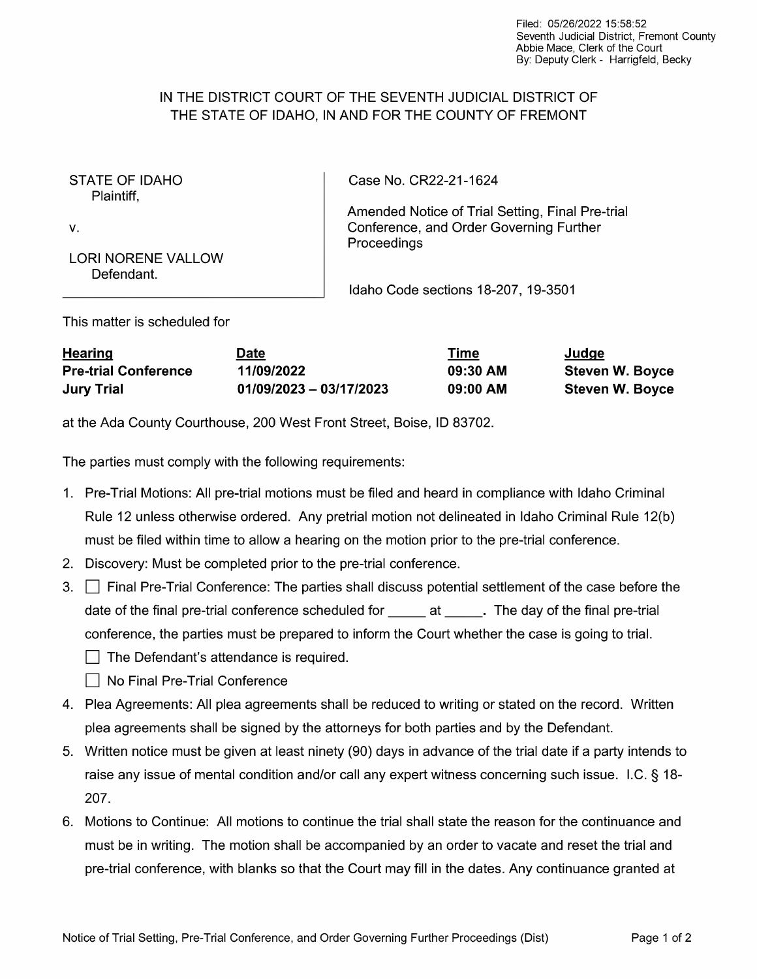## IN THE DISTRICT COURT OF THE SEVENTH JUDICIAL DISTRICT OF THE STATE OF IDAHO, IN AND FOR THE COUNTY OF FREMONT

STATE OF IDAHO Plaintiff,

V.

Case No. CR22-21-1624

Amended Notice of Trial Setting, Final Pre-trial Conference, and Order Governing Further Proceedings

Defendant.

Idaho Code sections 18-207, 19-3501

This matter is scheduled for

LORI NORENE VALLOW

| <b>Hearing</b>              | Date                      | Time     | Judge                  |
|-----------------------------|---------------------------|----------|------------------------|
| <b>Pre-trial Conference</b> | 11/09/2022                | 09:30 AM | <b>Steven W. Boyce</b> |
| <b>Jury Trial</b>           | $01/09/2023 - 03/17/2023$ | 09:00 AM | <b>Steven W. Boyce</b> |

at the Ada County Courthouse, 200 West Front Street, Boise, ID 83702.

The parties must comply with the following requirements:

- 1. Pre-Trial Motions: All pre-trial motions must be filed and heard in compliance with Idaho Criminal Rule 12 unless otherwise ordered. Any pretrial motion not delineated in Idaho Criminal Rule 12(b) must be filed within time to allow a hearing on the motion prior to the pre-trial conference.
- Discovery: Must be completed prior to the pre-trial conference.
- Final Pre-Trial Conference: The parties shall discuss potential settlement of the case before the ◯ Final Pre-Trial Conference: The parties shall discuss potential settlement of the case before the final pre-trial conference scheduled for \_\_\_\_\_ at \_\_\_\_\_. The day of the final pre-trial date of the final pre-trial conference scheduled for \_\_\_\_\_ at \_\_\_\_\_. The day of the final pre-trial<br>conference, the parties must be prepared to inform the Court whether the case is going to trial.<br>—  $\Box$  The Defendant's attendance is required.
	- □ No Final Pre-Trial Conference
- 4. Plea Agreements: All plea agreements shall be reduced to writing or stated on the record. Written plea agreements shall be signed by the attorneys for both parties and by the Defendant.
- 5. Written notice must be given at least ninety (90) days in advance of the trial date if a party intends to raise any issue of mental condition and/or call any expert witness concerning such issue. I.C. § 18-207.
- 6. Motions to Continue: All motions to continue the trial shall state the reason for the continuance and must be in writing. The motion shall be accompanied by an order to vacate and reset the trial and pre-trial conference, with blanks so that the Court may fill in the dates. Any continuance granted at